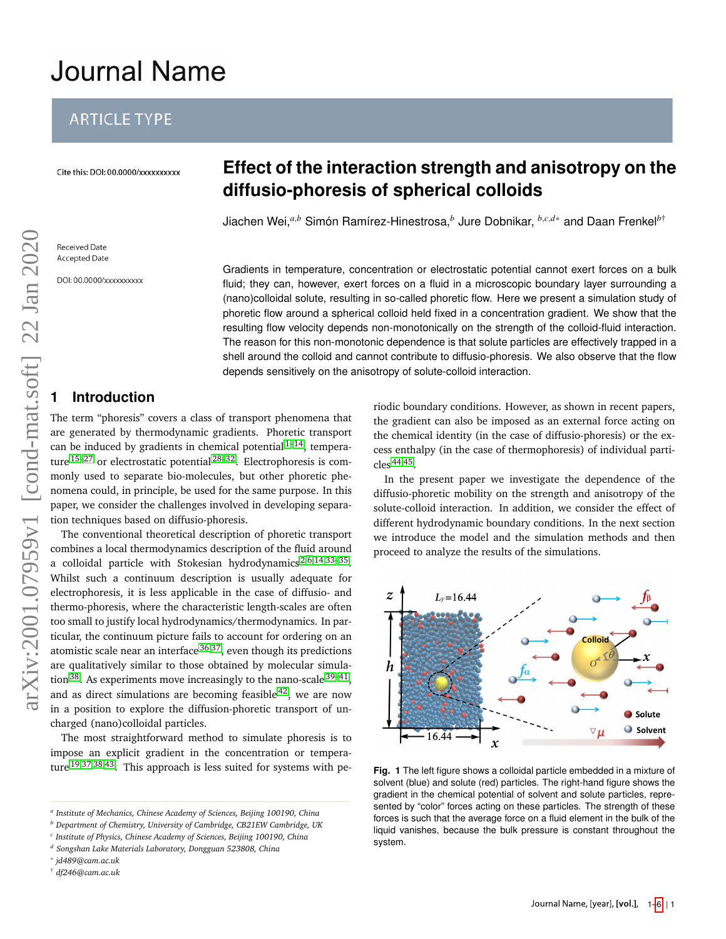# **Journal Name**

# **ARTICLE TYPE**

Cite this: DOI: 00.0000/xxxxxxxxxx

# **Effect of the interaction strength and anisotropy on the diffusio-phoresis of spherical colloids**

Jiachen Wei,*a*,*<sup>b</sup>* Simón Ramírez-Hinestrosa,*<sup>b</sup>* Jure Dobnikar, *<sup>b</sup>*,*c*,*d*<sup>∗</sup> and Daan Frenkel*b*†

Gradients in temperature, concentration or electrostatic potential cannot exert forces on a bulk fluid; they can, however, exert forces on a fluid in a microscopic boundary layer surrounding a (nano)colloidal solute, resulting in so-called phoretic flow. Here we present a simulation study of phoretic flow around a spherical colloid held fixed in a concentration gradient. We show that the resulting flow velocity depends non-monotonically on the strength of the colloid-fluid interaction. The reason for this non-monotonic dependence is that solute particles are effectively trapped in a shell around the colloid and cannot contribute to diffusio-phoresis. We also observe that the flow depends sensitively on the anisotropy of solute-colloid interaction.

# **1 Introduction**

The term "phoresis" covers a class of transport phenomena that are generated by thermodynamic gradients. Phoretic transport can be induced by gradients in chemical potential  $1-14$  $1-14$ , temperature  $15-27$  $15-27$  or electrostatic potential  $28-32$  $28-32$ . Electrophoresis is commonly used to separate bio-molecules, but other phoretic phenomena could, in principle, be used for the same purpose. In this paper, we consider the challenges involved in developing separation techniques based on diffusio-phoresis.

The conventional theoretical description of phoretic transport combines a local thermodynamics description of the fluid around a colloidal particle with Stokesian hydrodynamics<sup>[2](#page-4-1)[,6](#page-5-5)[,14,](#page-5-0)33-[35](#page-5-7)</sup>. Whilst such a continuum description is usually adequate for electrophoresis, it is less applicable in the case of diffusio- and thermo-phoresis, where the characteristic length-scales are often too small to justify local hydrodynamics/thermodynamics. In particular, the continuum picture fails to account for ordering on an atomistic scale near an interface<sup>[36](#page-5-8)[,37](#page-5-9)</sup>, even though its predictions are qualitatively similar to those obtained by molecular simulation  $^{38}$  $^{38}$  $^{38}$ . As experiments move increasingly to the nano-scale  $^{39-41}$  $^{39-41}$  $^{39-41}$ , and as direct simulations are becoming feasible  $42$ , we are now in a position to explore the diffusion-phoretic transport of uncharged (nano)colloidal particles. Solution the material of the same of the same of the same of the same of the same of the same of the same of the same of the same of the same of the same of the same of the same of the same of the same of the same of th

The most straightforward method to simulate phoresis is to impose an explicit gradient in the concentration or temperature [19](#page-5-14)[,37,](#page-5-9)[38,](#page-5-10)[43](#page-5-15). This approach is less suited for systems with periodic boundary conditions. However, as shown in recent papers, the gradient can also be imposed as an external force acting on the chemical identity (in the case of diffusio-phoresis) or the excess enthalpy (in the case of thermophoresis) of individual particles [44](#page-5-16)[,45](#page-5-17) .

In the present paper we investigate the dependence of the diffusio-phoretic mobility on the strength and anisotropy of the solute-colloid interaction. In addition, we consider the effect of different hydrodynamic boundary conditions. In the next section we introduce the model and the simulation methods and then proceed to analyze the results of the simulations.

<span id="page-0-0"></span>

**Fig. 1** The left figure shows a colloidal particle embedded in a mixture of solvent (blue) and solute (red) particles. The right-hand figure shows the gradient in the chemical potential of solvent and solute particles, represented by "color" forces acting on these particles. The strength of these forces is such that the average force on a fluid element in the bulk of the liquid vanishes, because the bulk pressure is constant throughout the system.

*a Institute of Mechanics, Chinese Academy of Sciences, Beijing 100190, China*

*<sup>b</sup> Department of Chemistry, University of Cambridge, CB21EW Cambridge, UK*

*c Institute of Physics, Chinese Academy of Sciences, Beijing 100190, China*

*<sup>d</sup> Songshan Lake Materials Laboratory, Dongguan 523808, China*

<sup>∗</sup> *jd489@cam.ac.uk*

<sup>†</sup> *df246@cam.ac.uk*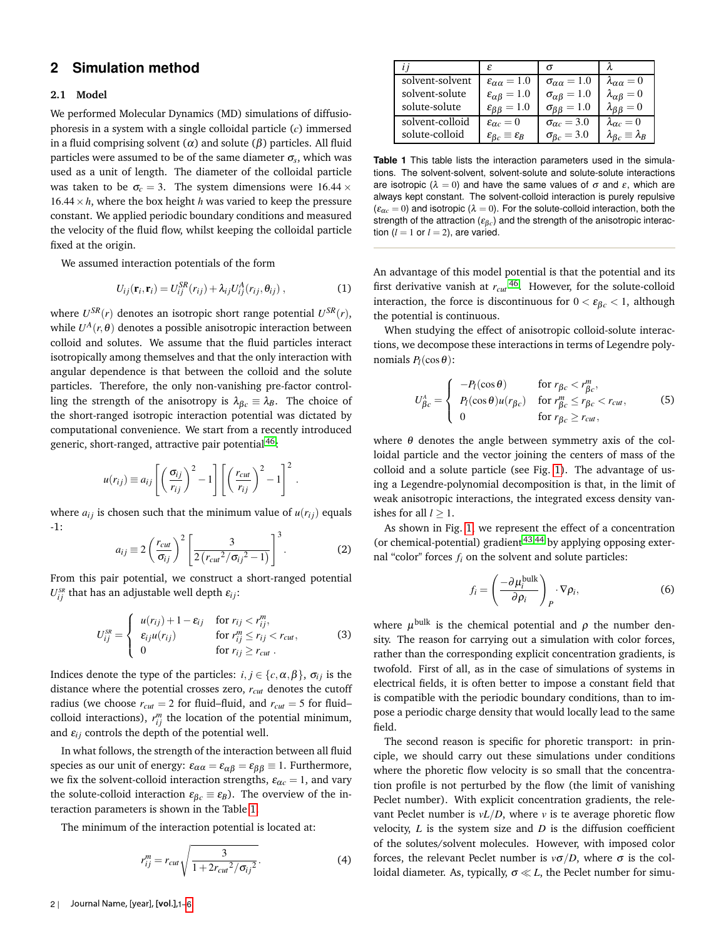## **2 Simulation method**

#### **2.1 Model**

We performed Molecular Dynamics (MD) simulations of diffusiophoresis in a system with a single colloidal particle (*c*) immersed in a fluid comprising solvent ( $\alpha$ ) and solute ( $\beta$ ) particles. All fluid particles were assumed to be of the same diameter  $\sigma_s$ , which was used as a unit of length. The diameter of the colloidal particle was taken to be  $\sigma_c = 3$ . The system dimensions were 16.44  $\times$  $16.44 \times h$ , where the box height *h* was varied to keep the pressure constant. We applied periodic boundary conditions and measured the velocity of the fluid flow, whilst keeping the colloidal particle fixed at the origin.

We assumed interaction potentials of the form

$$
U_{ij}(\mathbf{r}_i, \mathbf{r}_i) = U_{ij}^{SR}(r_{ij}) + \lambda_{ij} U_{ij}^A(r_{ij}, \theta_{ij}), \qquad (1)
$$

where  $U^{SR}(r)$  denotes an isotropic short range potential  $U^{SR}(r)$ , while  $U^A(r, \theta)$  denotes a possible anisotropic interaction between colloid and solutes. We assume that the fluid particles interact isotropically among themselves and that the only interaction with angular dependence is that between the colloid and the solute particles. Therefore, the only non-vanishing pre-factor controlling the strength of the anisotropy is  $\lambda_{\beta c} \equiv \lambda_B$ . The choice of the short-ranged isotropic interaction potential was dictated by computational convenience. We start from a recently introduced generic, short-ranged, attractive pair potential<sup>[46](#page-5-19)</sup>:

$$
u(r_{ij}) \equiv a_{ij} \left[ \left( \frac{\sigma_{ij}}{r_{ij}} \right)^2 - 1 \right] \left[ \left( \frac{r_{cut}}{r_{ij}} \right)^2 - 1 \right]^2.
$$

where  $a_{ij}$  is chosen such that the minimum value of  $u(r_{ij})$  equals -1:

$$
a_{ij} \equiv 2 \left( \frac{r_{cut}}{\sigma_{ij}} \right)^2 \left[ \frac{3}{2 \left( r_{cut}^2 / \sigma_{ij}^2 - 1 \right)} \right]^3.
$$
 (2)

From this pair potential, we construct a short-ranged potential  $U_{ij}^{_{SR}}$  that has an adjustable well depth  $\varepsilon_{ij}$ :

$$
U_{ij}^{SR} = \begin{cases} u(r_{ij}) + 1 - \varepsilon_{ij} & \text{for } r_{ij} < r_{ij}^m, \\ \varepsilon_{ij} u(r_{ij}) & \text{for } r_{ij}^m \le r_{ij} < r_{cut}, \\ 0 & \text{for } r_{ij} \ge r_{cut}. \end{cases}
$$
 (3)

Indices denote the type of the particles:  $i, j \in \{c, \alpha, \beta\}$ ,  $\sigma_{ij}$  is the distance where the potential crosses zero, *rcut* denotes the cutoff radius (we choose  $r_{cut} = 2$  for fluid–fluid, and  $r_{cut} = 5$  for fluid– colloid interactions),  $r_{ij}^m$  the location of the potential minimum, and  $\varepsilon_{ij}$  controls the depth of the potential well.

In what follows, the strength of the interaction between all fluid species as our unit of energy:  $\varepsilon_{\alpha\alpha} = \varepsilon_{\alpha\beta} = \varepsilon_{\beta\beta} \equiv 1$ . Furthermore, we fix the solvent-colloid interaction strengths,  $\varepsilon_{\alpha c} = 1$ , and vary the solute-colloid interaction  $\varepsilon_{\beta c} \equiv \varepsilon_B$ ). The overview of the interaction parameters is shown in the Table [1.](#page-1-0)

The minimum of the interaction potential is located at:

$$
r_{ij}^{m} = r_{cut} \sqrt{\frac{3}{1 + 2r_{cut}^{2}/\sigma_{ij}^{2}}}.
$$
 (4)

<span id="page-1-0"></span>

|                 | ε                                            |                               |                                      |
|-----------------|----------------------------------------------|-------------------------------|--------------------------------------|
| solvent-solvent | $\epsilon_{\alpha\alpha} = 1.0$              | $\sigma_{\alpha\alpha} = 1.0$ | $\lambda_{\alpha\alpha}=0$           |
| solvent-solute  | $\epsilon_{\alpha\beta} = 1.0$               | $\sigma_{\alpha\beta} = 1.0$  | $\lambda_{\alpha\beta}=0$            |
| solute-solute   | $\varepsilon_{\beta\beta} = 1.0$             | $\sigma_{\beta\beta} = 1.0$   | $\lambda_{\beta\beta}=0$             |
| solvent-colloid | $\varepsilon_{\alpha c}=0$                   | $\sigma_{\alpha c} = 3.0$     | $\lambda_{\alpha c} = 0$             |
| solute-colloid  | $\varepsilon_{\beta_c} \equiv \varepsilon_B$ | $\sigma_{\beta c} = 3.0$      | $\lambda_{\beta c} \equiv \lambda_B$ |

**Table 1** This table lists the interaction parameters used in the simulations. The solvent-solvent, solvent-solute and solute-solute interactions are isotropic ( $\lambda = 0$ ) and have the same values of  $\sigma$  and  $\varepsilon$ , which are always kept constant. The solvent-colloid interaction is purely repulsive  $(\varepsilon_{\alpha c} = 0)$  and isotropic ( $\lambda = 0$ ). For the solute-colloid interaction, both the strength of the attraction ( $\varepsilon_{\beta c}$ ) and the strength of the anisotropic interaction  $(l = 1 \text{ or } l = 2)$ , are varied.

An advantage of this model potential is that the potential and its first derivative vanish at *rcut* [46](#page-5-19). However, for the solute-colloid interaction, the force is discontinuous for  $0 < \varepsilon_{\beta c} < 1$ , although the potential is continuous.

When studying the effect of anisotropic colloid-solute interactions, we decompose these interactions in terms of Legendre polynomials  $P_l(\cos\theta)$ :

<span id="page-1-1"></span>
$$
U_{\beta c}^{A} = \begin{cases} -P_{l}(\cos \theta) & \text{for } r_{\beta c} < r_{\beta c}^{m}, \\ P_{l}(\cos \theta)u(r_{\beta c}) & \text{for } r_{\beta c}^{m} \le r_{\beta c} < r_{cut}, \\ 0 & \text{for } r_{\beta c} \ge r_{cut}, \end{cases}
$$
(5)

where  $\theta$  denotes the angle between symmetry axis of the colloidal particle and the vector joining the centers of mass of the colloid and a solute particle (see Fig. [1\)](#page-0-0). The advantage of using a Legendre-polynomial decomposition is that, in the limit of weak anisotropic interactions, the integrated excess density vanishes for all  $l > 1$ .

As shown in Fig. [1,](#page-0-0) we represent the effect of a concentration (or chemical-potential) gradient  $43,44$  $43,44$  by applying opposing external "color" forces *fi* on the solvent and solute particles:

$$
f_i = \left(\frac{-\partial \mu_i^{\text{bulk}}}{\partial \rho_i}\right)_P \cdot \nabla \rho_i, \tag{6}
$$

where  $\mu^{\rm bulk}$  is the chemical potential and  $\rho$  the number density. The reason for carrying out a simulation with color forces, rather than the corresponding explicit concentration gradients, is twofold. First of all, as in the case of simulations of systems in electrical fields, it is often better to impose a constant field that is compatible with the periodic boundary conditions, than to impose a periodic charge density that would locally lead to the same field.

The second reason is specific for phoretic transport: in principle, we should carry out these simulations under conditions where the phoretic flow velocity is so small that the concentration profile is not perturbed by the flow (the limit of vanishing Peclet number). With explicit concentration gradients, the relevant Peclet number is  $vL/D$ , where *v* is te average phoretic flow velocity, *L* is the system size and *D* is the diffusion coefficient of the solutes/solvent molecules. However, with imposed color forces, the relevant Peclet number is  $v\sigma/D$ , where  $\sigma$  is the colloidal diameter. As, typically,  $\sigma \ll L$ , the Peclet number for simu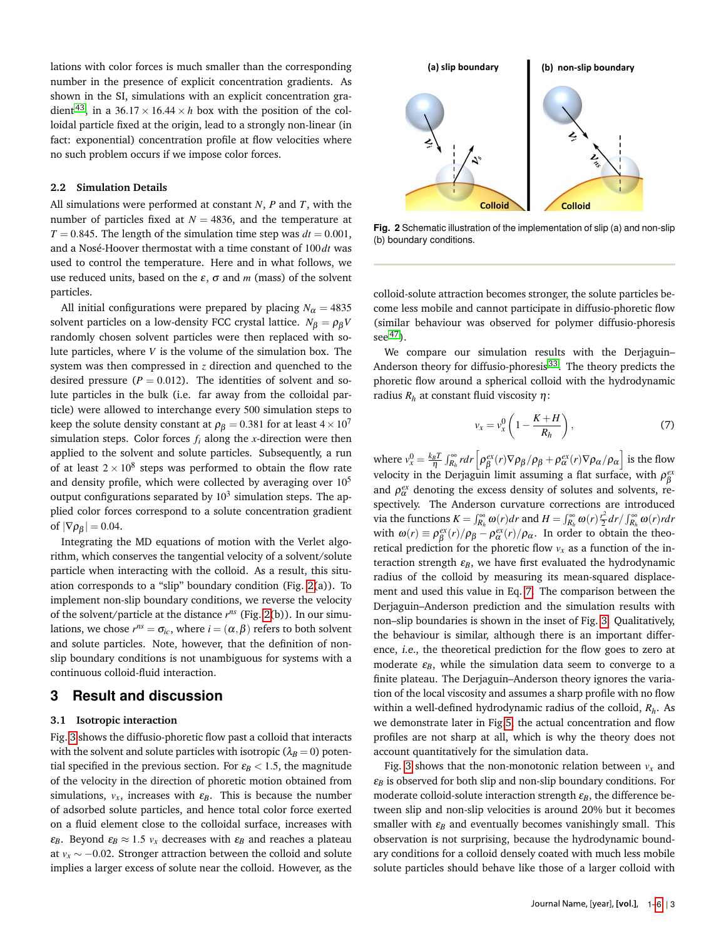lations with color forces is much smaller than the corresponding number in the presence of explicit concentration gradients. As shown in the SI, simulations with an explicit concentration gra-dient<sup>[43](#page-5-15)</sup>, in a 36.17  $\times$  16.44  $\times$  *h* box with the position of the colloidal particle fixed at the origin, lead to a strongly non-linear (in fact: exponential) concentration profile at flow velocities where no such problem occurs if we impose color forces.

#### **2.2 Simulation Details**

All simulations were performed at constant *N*, *P* and *T*, with the number of particles fixed at  $N = 4836$ , and the temperature at  $T = 0.845$ . The length of the simulation time step was  $dt = 0.001$ , and a Nosé-Hoover thermostat with a time constant of 100*dt* was used to control the temperature. Here and in what follows, we use reduced units, based on the  $\varepsilon$ ,  $\sigma$  and  $m$  (mass) of the solvent particles.

All initial configurations were prepared by placing  $N_\alpha = 4835$ solvent particles on a low-density FCC crystal lattice.  $N_\beta = \rho_\beta V$ randomly chosen solvent particles were then replaced with solute particles, where *V* is the volume of the simulation box. The system was then compressed in *z* direction and quenched to the desired pressure ( $P = 0.012$ ). The identities of solvent and solute particles in the bulk (i.e. far away from the colloidal particle) were allowed to interchange every 500 simulation steps to keep the solute density constant at  $\rho_{\beta} = 0.381$  for at least  $4 \times 10^7$ simulation steps. Color forces  $f_i$  along the *x*-direction were then applied to the solvent and solute particles. Subsequently, a run of at least  $2 \times 10^8$  steps was performed to obtain the flow rate and density profile, which were collected by averaging over  $10^5$ output configurations separated by  $10^3$  simulation steps. The applied color forces correspond to a solute concentration gradient of  $|\nabla \rho_{\beta}| = 0.04$ .

Integrating the MD equations of motion with the Verlet algorithm, which conserves the tangential velocity of a solvent/solute particle when interacting with the colloid. As a result, this situation corresponds to a "slip" boundary condition (Fig. [2\(](#page-2-0)a)). To implement non-slip boundary conditions, we reverse the velocity of the solvent/particle at the distance *r ns* (Fig. [2\(](#page-2-0)b)). In our simulations, we chose  $r^{ns} = \sigma_{ic}$ , where  $i = (\alpha, \beta)$  refers to both solvent and solute particles. Note, however, that the definition of nonslip boundary conditions is not unambiguous for systems with a continuous colloid-fluid interaction.

## **3 Result and discussion**

#### **3.1 Isotropic interaction**

Fig. [3](#page-3-0) shows the diffusio-phoretic flow past a colloid that interacts with the solvent and solute particles with isotropic ( $\lambda_B = 0$ ) potential specified in the previous section. For  $\varepsilon_B < 1.5$ , the magnitude of the velocity in the direction of phoretic motion obtained from simulations,  $v_x$ , increases with  $\varepsilon_B$ . This is because the number of adsorbed solute particles, and hence total color force exerted on a fluid element close to the colloidal surface, increases with *ε*<sub>*B*</sub>. Beyond  $\varepsilon_B \approx 1.5$   $v_x$  decreases with  $\varepsilon_B$  and reaches a plateau at  $v_x \sim -0.02$ . Stronger attraction between the colloid and solute implies a larger excess of solute near the colloid. However, as the

<span id="page-2-0"></span>

**Fig. 2** Schematic illustration of the implementation of slip (a) and non-slip (b) boundary conditions.

colloid-solute attraction becomes stronger, the solute particles become less mobile and cannot participate in diffusio-phoretic flow (similar behaviour was observed for polymer diffusio-phoresis see  $47$ ).

We compare our simulation results with the Derjaguin– Anderson theory for diffusio-phoresis [33](#page-5-6). The theory predicts the phoretic flow around a spherical colloid with the hydrodynamic radius  $R_h$  at constant fluid viscosity  $\eta$ :

<span id="page-2-1"></span>
$$
v_x = v_x^0 \left( 1 - \frac{K + H}{R_h} \right),\tag{7}
$$

where  $v_x^0 = \frac{k_B T}{\eta} \int_{R_h}^{\infty} r dr \left[ \rho_{\beta}^{ex}(r) \nabla \rho_{\beta} / \rho_{\beta} + \rho_{\alpha}^{ex}(r) \nabla \rho_{\alpha} / \rho_{\alpha} \right]$  is the flow velocity in the Derjaguin limit assuming a flat surface, with  $\rho_\beta^{ex}$ and  $\rho_{\alpha}^{ex}$  denoting the excess density of solutes and solvents, respectively. The Anderson curvature corrections are introduced via the functions  $K = \int_{R_h}^{\infty} \omega(r) dr$  and  $H = \int_{R_h}^{\infty} \omega(r) \frac{r^2}{2} dr / \int_{R_h}^{\infty} \omega(r) r dr$ with  $\omega(r) \equiv \rho_{\beta}^{ex}(r)/\rho_{\beta} - \rho_{\alpha}^{ex}(r)/\rho_{\alpha}$ . In order to obtain the theoretical prediction for the phoretic flow  $v_x$  as a function of the interaction strength  $\varepsilon_B$ , we have first evaluated the hydrodynamic radius of the colloid by measuring its mean-squared displacement and used this value in Eq. [7.](#page-2-1) The comparison between the Derjaguin–Anderson prediction and the simulation results with non–slip boundaries is shown in the inset of Fig. [3.](#page-3-0) Qualitatively, the behaviour is similar, although there is an important difference, i.e., the theoretical prediction for the flow goes to zero at moderate  $\varepsilon_B$ , while the simulation data seem to converge to a finite plateau. The Derjaguin–Anderson theory ignores the variation of the local viscosity and assumes a sharp profile with no flow within a well-defined hydrodynamic radius of the colloid, *Rh*. As we demonstrate later in Fig[.5,](#page-3-1) the actual concentration and flow profiles are not sharp at all, which is why the theory does not account quantitatively for the simulation data.

Fig. [3](#page-3-0) shows that the non-monotonic relation between  $v_x$  and  $\varepsilon_B$  is observed for both slip and non-slip boundary conditions. For moderate colloid-solute interaction strength  $\varepsilon_B$ , the difference between slip and non-slip velocities is around 20% but it becomes smaller with  $\varepsilon_B$  and eventually becomes vanishingly small. This observation is not surprising, because the hydrodynamic boundary conditions for a colloid densely coated with much less mobile solute particles should behave like those of a larger colloid with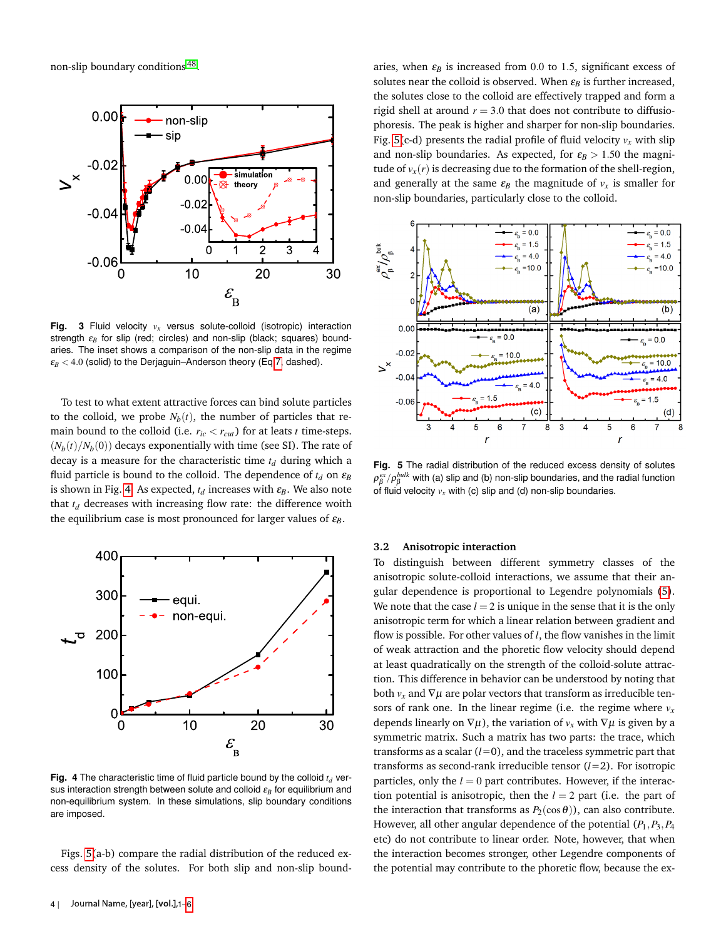non-slip boundary conditions<sup>[48](#page-5-21)</sup>.

<span id="page-3-0"></span>

**Fig. 3** Fluid velocity *v<sup>x</sup>* versus solute-colloid (isotropic) interaction strength ε<sub>B</sub> for slip (red; circles) and non-slip (black; squares) boundaries. The inset shows a comparison of the non-slip data in the regime  $\varepsilon_B$  < 4.0 (solid) to the Derjaguin–Anderson theory (Eq[.7,](#page-2-1) dashed).

To test to what extent attractive forces can bind solute particles to the colloid, we probe  $N_b(t)$ , the number of particles that remain bound to the colloid (i.e.  $r_{ic} < r_{cut}$ ) for at leats *t* time-steps.  $(N_b(t)/N_b(0))$  decays exponentially with time (see SI). The rate of decay is a measure for the characteristic time *t<sup>d</sup>* during which a fluid particle is bound to the colloid. The dependence of  $t_d$  on  $\varepsilon_B$ is shown in Fig. [4.](#page-3-2) As expected,  $t_d$  increases with  $\varepsilon_B$ . We also note that  $t_d$  decreases with increasing flow rate: the difference woith the equilibrium case is most pronounced for larger values of  $\varepsilon_B$ .

<span id="page-3-2"></span>

**Fig. 4** The characteristic time of fluid particle bound by the colloid  $t_d$  versus interaction strength between solute and colloid ε*<sup>B</sup>* for equilibrium and non-equilibrium system. In these simulations, slip boundary conditions are imposed.

Figs. [5\(](#page-3-1)a-b) compare the radial distribution of the reduced excess density of the solutes. For both slip and non-slip bound-

-0.04 and generally at the same  $\varepsilon_B$  the magnitude of  $v_x$  is smaller for and non-slip boundaries. As expected, for  $\varepsilon_B > 1.50$  the magniaries, when  $\varepsilon_B$  is increased from 0.0 to 1.5, significant excess of solutes near the colloid is observed. When  $\varepsilon_B$  is further increased, the solutes close to the colloid are effectively trapped and form a rigid shell at around  $r = 3.0$  that does not contribute to diffusiophoresis. The peak is higher and sharper for non-slip boundaries. Fig. [5\(](#page-3-1)c-d) presents the radial profile of fluid velocity  $v_x$  with slip tude of  $v_x(r)$  is decreasing due to the formation of the shell-region, non-slip boundaries, particularly close to the colloid.

<span id="page-3-1"></span>

**Fig. 5** The radial distribution of the reduced excess density of solutes  $\rho_\beta^{ex}/\rho_\beta^{bulk}$  with (a) slip and (b) non-slip boundaries, and the radial function of fluid velocity  $v_x$  with (c) slip and (d) non-slip boundaries.

#### **3.2 Anisotropic interaction**

To distinguish between different symmetry classes of the anisotropic solute-colloid interactions, we assume that their angular dependence is proportional to Legendre polynomials [\(5\)](#page-1-1). We note that the case  $l = 2$  is unique in the sense that it is the only anisotropic term for which a linear relation between gradient and flow is possible. For other values of *l*, the flow vanishes in the limit of weak attraction and the phoretic flow velocity should depend at least quadratically on the strength of the colloid-solute attraction. This difference in behavior can be understood by noting that both  $v_x$  and  $\nabla \mu$  are polar vectors that transform as irreducible tensors of rank one. In the linear regime (i.e. the regime where  $v_x$ depends linearly on  $\nabla \mu$ ), the variation of  $v_x$  with  $\nabla \mu$  is given by a symmetric matrix. Such a matrix has two parts: the trace, which transforms as a scalar  $(l=0)$ , and the traceless symmetric part that transforms as second-rank irreducible tensor (*l*=2). For isotropic particles, only the  $l = 0$  part contributes. However, if the interaction potential is anisotropic, then the *l* = 2 part (i.e. the part of the interaction that transforms as  $P_2(\cos\theta)$ , can also contribute. However, all other angular dependence of the potential (*P*1,*P*3,*P*<sup>4</sup> etc) do not contribute to linear order. Note, however, that when the interaction becomes stronger, other Legendre components of the potential may contribute to the phoretic flow, because the ex-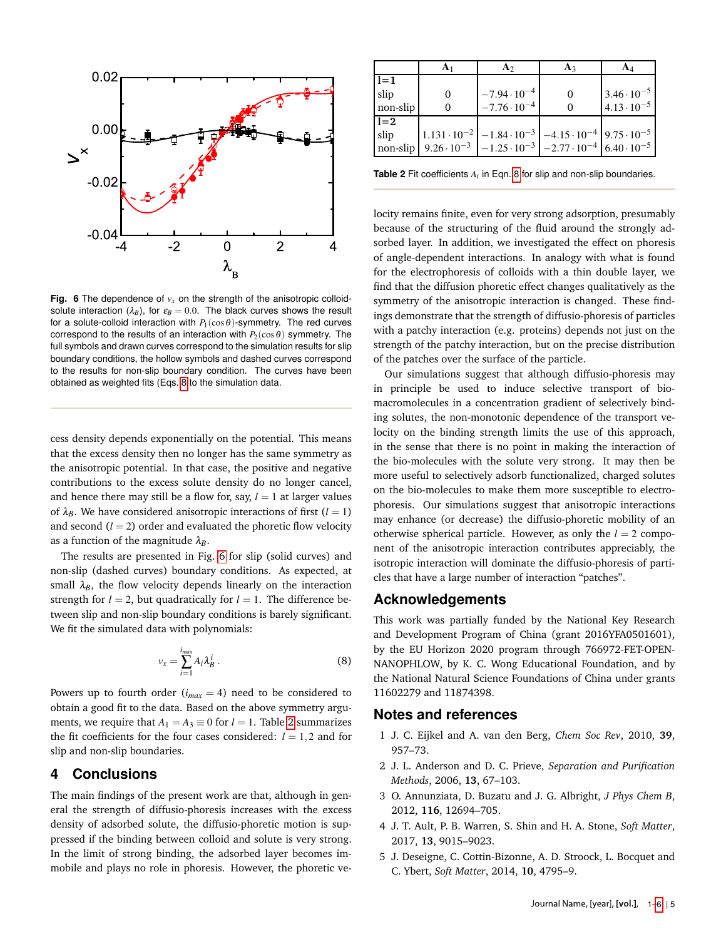<span id="page-4-3"></span>

**Fig. 6** The dependence of  $v_x$  on the strength of the anisotropic colloidsolute interaction  $(\lambda_B)$ , for  $\varepsilon_B = 0.0$ . The black curves shows the result for a solute-colloid interaction with  $P_1(\cos\theta)$ -symmetry. The red curves correspond to the results of an interaction with  $P_2(\cos\theta)$  symmetry. The full symbols and drawn curves correspond to the simulation results for slip boundary conditions, the hollow symbols and dashed curves correspond to the results for non-slip boundary condition. The curves have been obtained as weighted fits (Eqs. [8](#page-4-2) to the simulation data.

cess density depends exponentially on the potential. This means that the excess density then no longer has the same symmetry as the anisotropic potential. In that case, the positive and negative contributions to the excess solute density do no longer cancel, and hence there may still be a flow for, say,  $l = 1$  at larger values of  $\lambda_B$ . We have considered anisotropic interactions of first ( $l = 1$ ) and second  $(l = 2)$  order and evaluated the phoretic flow velocity as a function of the magnitude  $\lambda_B$ .

The results are presented in Fig. [6](#page-4-3) for slip (solid curves) and non-slip (dashed curves) boundary conditions. As expected, at small  $\lambda_B$ , the flow velocity depends linearly on the interaction strength for  $l = 2$ , but quadratically for  $l = 1$ . The difference between slip and non-slip boundary conditions is barely significant. We fit the simulated data with polynomials:

<span id="page-4-2"></span>
$$
v_x = \sum_{i=1}^{i_{max}} A_i \lambda_B^i . \tag{8}
$$

Powers up to fourth order  $(i_{max} = 4)$  need to be considered to obtain a good fit to the data. Based on the above symmetry arguments, we require that  $A_1 = A_3 \equiv 0$  for  $l = 1$ . Table [2](#page-4-4) summarizes the fit coefficients for the four cases considered:  $l = 1,2$  and for slip and non-slip boundaries.

## **4 Conclusions**

The main findings of the present work are that, although in general the strength of diffusio-phoresis increases with the excess density of adsorbed solute, the diffusio-phoretic motion is suppressed if the binding between colloid and solute is very strong. In the limit of strong binding, the adsorbed layer becomes immobile and plays no role in phoresis. However, the phoretic ve-

<span id="page-4-4"></span>

|          | A2                                                                                     | $A_3$ |                       |
|----------|----------------------------------------------------------------------------------------|-------|-----------------------|
| $1 = 1$  |                                                                                        |       |                       |
| slip     | $-7.94 \cdot 10^{-4}$                                                                  |       | $3.46 \cdot 10^{-5}$  |
| non-slip | $-7.76 \cdot 10^{-4}$                                                                  |       | $14.13 \cdot 10^{-5}$ |
| $1 = 2$  |                                                                                        |       |                       |
| slip     | $1.131 \cdot 10^{-2}$ $-1.84 \cdot 10^{-3}$ $-4.15 \cdot 10^{-4}$ 9.75 $\cdot 10^{-5}$ |       |                       |
| non-slip | $9.26 \cdot 10^{-3}$ -1.25 $\cdot 10^{-3}$ -2.77 $\cdot 10^{-4}$ 6.40 $\cdot 10^{-5}$  |       |                       |

**Table 2** Fit coefficients  $A_i$  in Eqn. [8](#page-4-2) for slip and non-slip boundaries.

locity remains finite, even for very strong adsorption, presumably because of the structuring of the fluid around the strongly adsorbed layer. In addition, we investigated the effect on phoresis of angle-dependent interactions. In analogy with what is found for the electrophoresis of colloids with a thin double layer, we find that the diffusion phoretic effect changes qualitatively as the symmetry of the anisotropic interaction is changed. These findings demonstrate that the strength of diffusio-phoresis of particles with a patchy interaction (e.g. proteins) depends not just on the strength of the patchy interaction, but on the precise distribution of the patches over the surface of the particle.

Our simulations suggest that although diffusio-phoresis may in principle be used to induce selective transport of biomacromolecules in a concentration gradient of selectively binding solutes, the non-monotonic dependence of the transport velocity on the binding strength limits the use of this approach, in the sense that there is no point in making the interaction of the bio-molecules with the solute very strong. It may then be more useful to selectively adsorb functionalized, charged solutes on the bio-molecules to make them more susceptible to electrophoresis. Our simulations suggest that anisotropic interactions may enhance (or decrease) the diffusio-phoretic mobility of an otherwise spherical particle. However, as only the  $l = 2$  component of the anisotropic interaction contributes appreciably, the isotropic interaction will dominate the diffusio-phoresis of particles that have a large number of interaction "patches".

## **Acknowledgements**

This work was partially funded by the National Key Research and Development Program of China (grant 2016YFA0501601), by the EU Horizon 2020 program through 766972-FET-OPEN-NANOPHLOW, by K. C. Wong Educational Foundation, and by the National Natural Science Foundations of China under grants 11602279 and 11874398.

#### **Notes and references**

- <span id="page-4-0"></span>1 J. C. Eijkel and A. van den Berg, *Chem Soc Rev*, 2010, **39**, 957–73.
- <span id="page-4-1"></span>2 J. L. Anderson and D. C. Prieve, *Separation and Purification Methods*, 2006, **13**, 67–103.
- 3 O. Annunziata, D. Buzatu and J. G. Albright, *J Phys Chem B*, 2012, **116**, 12694–705.
- 4 J. T. Ault, P. B. Warren, S. Shin and H. A. Stone, *Soft Matter*, 2017, **13**, 9015–9023.
- 5 J. Deseigne, C. Cottin-Bizonne, A. D. Stroock, L. Bocquet and C. Ybert, *Soft Matter*, 2014, **10**, 4795–9.